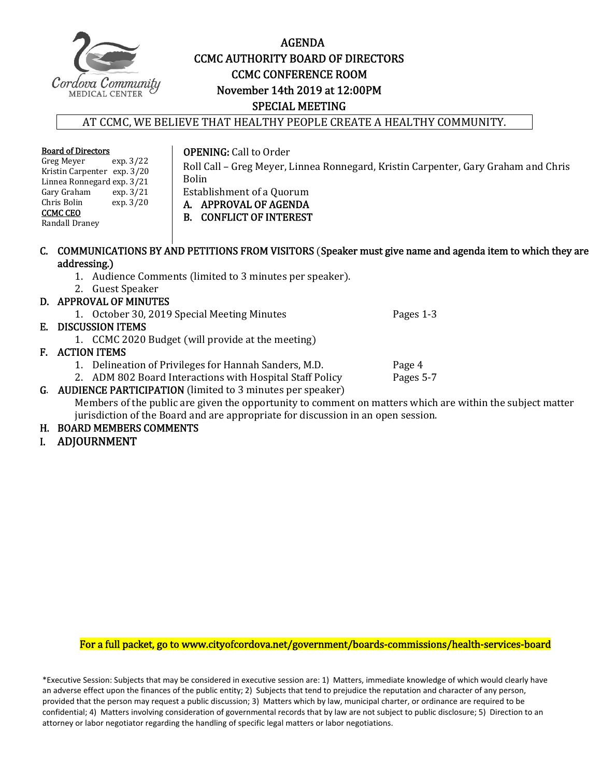

#### AGENDA CCMC AUTHORITY BOARD OF DIRECTORS **CCMC CONFERENCE ROOM** November 14th 2019 at 12:00PM SPECIAL MEETING

#### AT CCMC, WE BELIEVE THAT HEALTHY PEOPLE CREATE A HEALTHY COMMUNITY.

#### **Board of Directors**<br>Greg Meyer exp. 3/22 Greg Meyer

Kristin Carpenter exp. 3/20 Linnea Ronnegard exp. 3/21<br>Gary Graham exp. 3/21 **OPENING:** Call to Order

Roll Call - Greg Meyer, Linnea Ronnegard, Kristin Carpenter, Gary Graham and Chris Bolin Establishment of a Quorum

A. APPROVAL OF AGENDA

B. CONFLICT OF INTEREST

Randall Draney 

Gary Graham<br>Chris Bolin

CCMC CEO 

C. COMMUNICATIONS BY AND PETITIONS FROM VISITORS (Speaker must give name and agenda item to which they are addressing.)

- 1. Audience Comments (limited to 3 minutes per speaker).
- 2. Guest Speaker

 $\exp.3/20$ 

#### D. APPROVAL OF MINUTES

1. October 30, 2019 Special Meeting Minutes **The Contract Contract Pages 1**-3

#### E. DISCUSSION ITEMS

1. CCMC 2020 Budget (will provide at the meeting)

#### F. ACTION ITEMS

- 
- 1. Delineation of Privileges for Hannah Sanders, M.D. Page 4 2. ADM 802 Board Interactions with Hospital Staff Policy

G. AUDIENCE PARTICIPATION (limited to 3 minutes per speaker)

Members of the public are given the opportunity to comment on matters which are within the subject matter jurisdiction of the Board and are appropriate for discussion in an open session.

#### H. BOARD MEMBERS COMMENTS

I. ADJOURNMENT 

For a full packet, go to www.cityofcordova.net/government/boards-commissions/health-services-board

\*Executive Session: Subjects that may be considered in executive session are: 1) Matters, immediate knowledge of which would clearly have an adverse effect upon the finances of the public entity; 2) Subjects that tend to prejudice the reputation and character of any person, provided that the person may request a public discussion; 3) Matters which by law, municipal charter, or ordinance are required to be confidential; 4) Matters involving consideration of governmental records that by law are not subject to public disclosure; 5) Direction to an attorney or labor negotiator regarding the handling of specific legal matters or labor negotiations.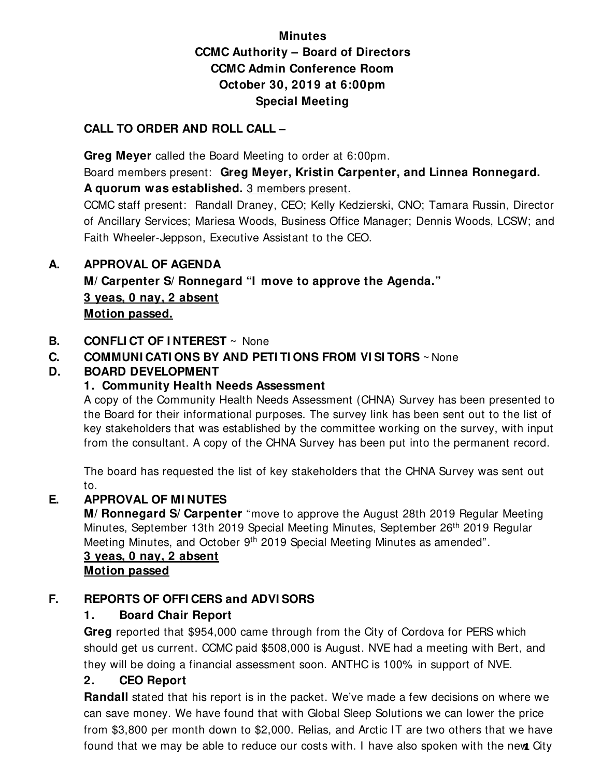## **Minutes CCMC Authority – Board of Directors CCMC Admin Conference Room October 30, 2019 at 6:00pm Special Meeting**

#### **CALL TO ORDER AND ROLL CALL –**

 **Greg Meyer** called the Board Meeting to order at 6:00pm.

Board members present: **Greg Meyer, Kristin Carpenter, and Linnea Ronnegard. A quorum was established.** 3 members present.

CCMC staff present: Randall Draney, CEO; Kelly Kedzierski, CNO; Tamara Russin, Director of Ancillary Services; Mariesa Woods, Business Office Manager; Dennis Woods, LCSW; and Faith Wheeler-Jeppson, Executive Assistant to the CEO.

#### **A. APPROVAL OF AGENDA**

**M/ Carpenter S/ Ronnegard "I move to approve the Agenda." 3 yeas, 0 nay, 2 absent Motion passed.** 

#### **B. CONFLICT OF INTEREST** ~ None

### **C. COMMUNI CATI ONS BY AND PETI TI ONS FROM VI SI TORS** ~ None

#### **D. BOARD DEVELOPMENT**

#### **1. Community Health Needs Assessment**

A copy of the Community Health Needs Assessment (CHNA) Survey has been presented to the Board for their informational purposes. The survey link has been sent out to the list of key stakeholders that was established by the committee working on the survey, with input from the consultant. A copy of the CHNA Survey has been put into the permanent record.

The board has requested the list of key stakeholders that the CHNA Survey was sent out to.

#### **E. APPROVAL OF MI NUTES**

**M/ Ronnegard S/ Carpenter** "move to approve the August 28th 2019 Regular Meeting Minutes, September 13th 2019 Special Meeting Minutes, September 26th 2019 Regular Meeting Minutes, and October 9<sup>th</sup> 2019 Special Meeting Minutes as amended".

#### **3 yeas, 0 nay, 2 absent Motion passed**

#### **F. REPORTS OF OFFI CERS and ADVI SORS**

## **1. Board Chair Report**

**Greg** reported that \$954,000 came through from the City of Cordova for PERS which should get us current. CCMC paid \$508,000 is August. NVE had a meeting with Bert, and they will be doing a financial assessment soon. ANTHC is 100% in support of NVE.

## **2. CEO Report**

**Randall** stated that his report is in the packet. We've made a few decisions on where we can save money. We have found that with Global Sleep Solutions we can lower the price from \$3,800 per month down to \$2,000. Relias, and Arctic IT are two others that we have found that we may be able to reduce our costs with. I have also spoken with the new City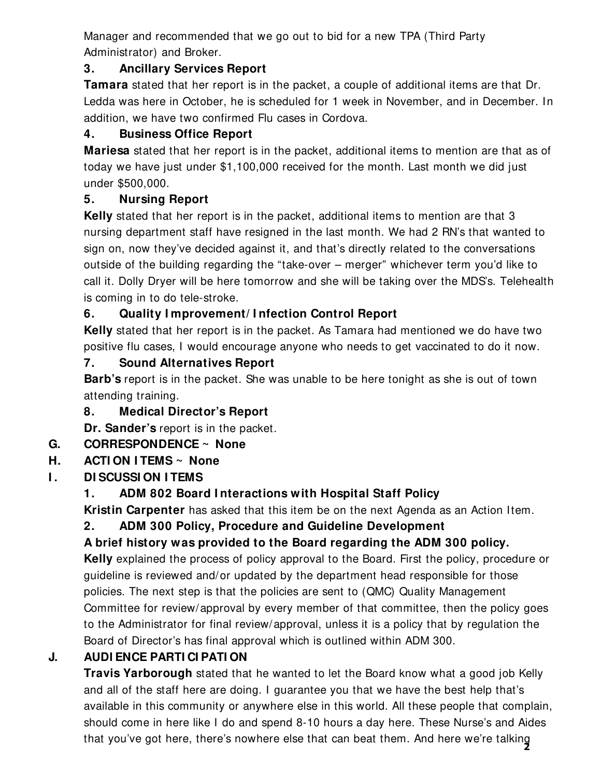Manager and recommended that we go out to bid for a new TPA (Third Party Administrator) and Broker.

### **3. Ancillary Services Report**

**Tamara** stated that her report is in the packet, a couple of additional items are that Dr. Ledda was here in October, he is scheduled for 1 week in November, and in December. In addition, we have two confirmed Flu cases in Cordova.

## **4. Business Office Report**

**Mariesa** stated that her report is in the packet, additional items to mention are that as of today we have just under \$1,100,000 received for the month. Last month we did just under \$500,000.

## **5. Nursing Report**

**Kelly** stated that her report is in the packet, additional items to mention are that 3 nursing department staff have resigned in the last month. We had 2 RN's that wanted to sign on, now they've decided against it, and that's directly related to the conversations outside of the building regarding the "take-over – merger" whichever term you'd like to call it. Dolly Dryer will be here tomorrow and she will be taking over the MDS's. Telehealth is coming in to do tele-stroke.

## **6. Quality I mprovement/ I nfection Control Report**

**Kelly** stated that her report is in the packet. As Tamara had mentioned we do have two positive flu cases, I would encourage anyone who needs to get vaccinated to do it now.

## **7. Sound Alternatives Report**

**Barb's** report is in the packet. She was unable to be here tonight as she is out of town attending training.

**8. Medical Director's Report** 

**Dr. Sander's** report is in the packet.

## **G. CORRESPONDENCE ~ None**

## **H. ACTI ON I TEMS ~ None**

**I.** DI SCUSSION I TEMS

## **1. ADM 802 Board I nteractions with Hospital Staff Policy**

 **Kristin Carpenter** has asked that this item be on the next Agenda as an Action Item.

## **2. ADM 300 Policy, Procedure and Guideline Development**

## **A brief history was provided to the Board regarding the ADM 300 policy.**

**Kelly** explained the process of policy approval to the Board. First the policy, procedure or guideline is reviewed and/or updated by the department head responsible for those policies. The next step is that the policies are sent to (QMC) Quality Management Committee for review/approval by every member of that committee, then the policy goes to the Administrator for final review/approval, unless it is a policy that by regulation the Board of Director's has final approval which is outlined within ADM 300.

## **J. AUDI ENCE PARTI CI PATI ON**

 **Travis Yarborough** stated that he wanted to let the Board know what a good job Kelly and all of the staff here are doing. I guarantee you that we have the best help that's available in this community or anywhere else in this world. All these people that complain, should come in here like I do and spend 8-10 hours a day here. These Nurse's and Aides that you've got here, there's nowhere else that can beat them. And here we're talking **2**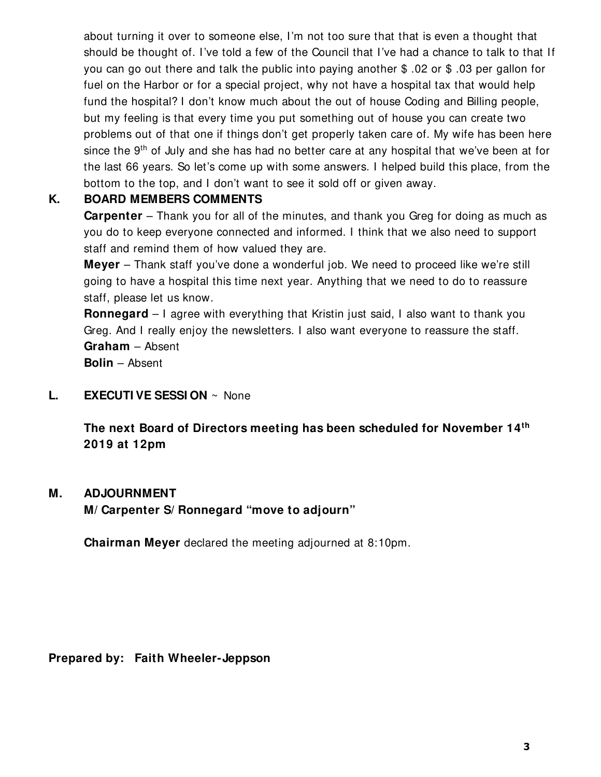about turning it over to someone else, I'm not too sure that that is even a thought that should be thought of. I've told a few of the Council that I've had a chance to talk to that If you can go out there and talk the public into paying another \$ .02 or \$ .03 per gallon for fuel on the Harbor or for a special project, why not have a hospital tax that would help fund the hospital? I don't know much about the out of house Coding and Billing people, but my feeling is that every time you put something out of house you can create two problems out of that one if things don't get properly taken care of. My wife has been here since the  $9<sup>th</sup>$  of July and she has had no better care at any hospital that we've been at for the last 66 years. So let's come up with some answers. I helped build this place, from the bottom to the top, and I don't want to see it sold off or given away.

#### **K. BOARD MEMBERS COMMENTS**

**Carpenter** – Thank you for all of the minutes, and thank you Greg for doing as much as you do to keep everyone connected and informed. I think that we also need to support staff and remind them of how valued they are.

**Meyer** – Thank staff you've done a wonderful job. We need to proceed like we're still going to have a hospital this time next year. Anything that we need to do to reassure staff, please let us know.

**Ronnegard** – I agree with everything that Kristin just said, I also want to thank you Greg. And I really enjoy the newsletters. I also want everyone to reassure the staff. **Graham** – Absent

**Bolin** – Absent

**L. EXECUTI VE SESSI ON** ~ None

**The next Board of Directors meeting has been scheduled for November 14th 2019 at 12pm** 

#### **M. ADJOURNMENT**

**M/ Carpenter S/ Ronnegard "move to adjourn"** 

**Chairman Meyer** declared the meeting adjourned at 8:10pm.

**Prepared by: Faith Wheeler-Jeppson**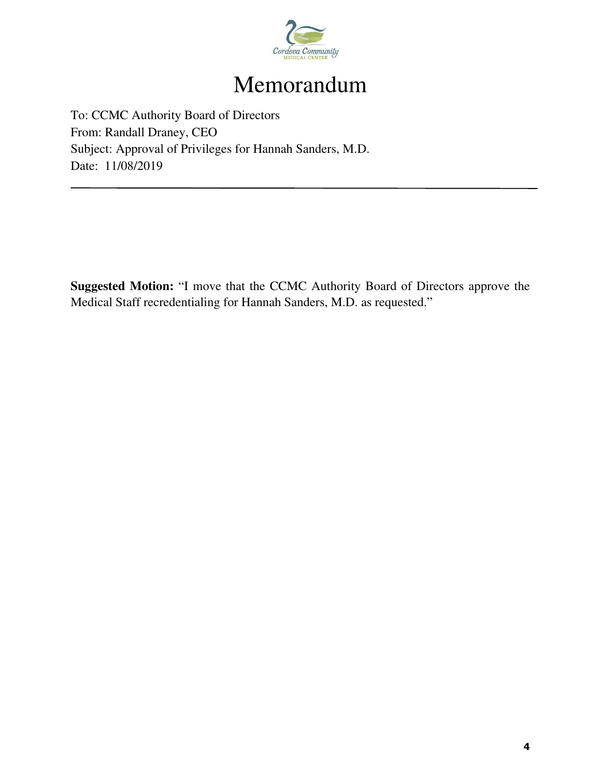

# Memorandum

To: CCMC Authority Board of Directors From: Randall Draney, CEO Subject: Approval of Privileges for Hannah Sanders, M.D. Date: 11/08/2019

**Suggested Motion:** "I move that the CCMC Authority Board of Directors approve the Medical Staff recredentialing for Hannah Sanders, M.D. as requested."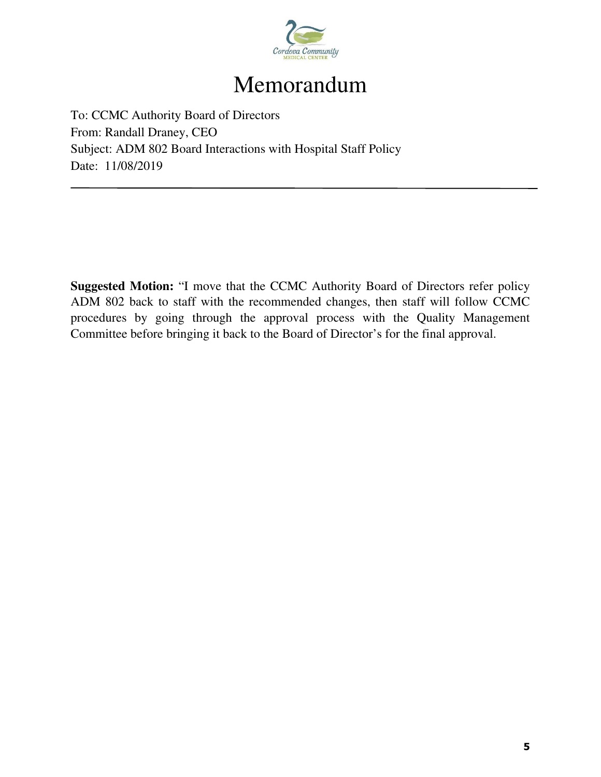

## Memorandum

To: CCMC Authority Board of Directors From: Randall Draney, CEO Subject: ADM 802 Board Interactions with Hospital Staff Policy Date: 11/08/2019

**Suggested Motion:** "I move that the CCMC Authority Board of Directors refer policy ADM 802 back to staff with the recommended changes, then staff will follow CCMC procedures by going through the approval process with the Quality Management Committee before bringing it back to the Board of Director's for the final approval.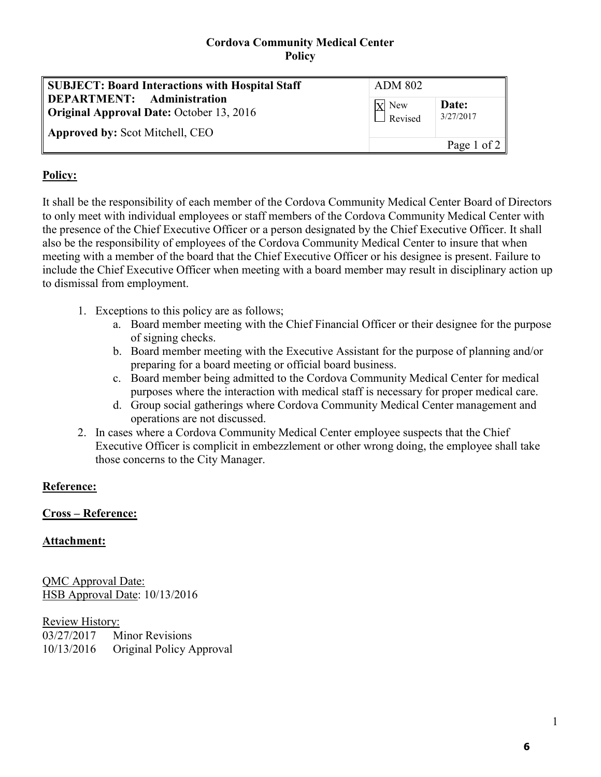#### **Cordova Community Medical Center Policy**

| <b>SUBJECT: Board Interactions with Hospital Staff</b>                                                                  | <b>ADM 802</b>            |                    |
|-------------------------------------------------------------------------------------------------------------------------|---------------------------|--------------------|
| DEPARTMENT: Administration<br><b>Original Approval Date: October 13, 2016</b><br><b>Approved by: Scot Mitchell, CEO</b> | $X$ New<br>$\Box$ Revised | Date:<br>3/27/2017 |
|                                                                                                                         |                           | Page 1 of 2 $ $    |

#### **Policy:**

It shall be the responsibility of each member of the Cordova Community Medical Center Board of Directors to only meet with individual employees or staff members of the Cordova Community Medical Center with the presence of the Chief Executive Officer or a person designated by the Chief Executive Officer. It shall also be the responsibility of employees of the Cordova Community Medical Center to insure that when meeting with a member of the board that the Chief Executive Officer or his designee is present. Failure to include the Chief Executive Officer when meeting with a board member may result in disciplinary action up to dismissal from employment.

- 1. Exceptions to this policy are as follows;
	- a. Board member meeting with the Chief Financial Officer or their designee for the purpose of signing checks.
	- b. Board member meeting with the Executive Assistant for the purpose of planning and/or preparing for a board meeting or official board business.
	- c. Board member being admitted to the Cordova Community Medical Center for medical purposes where the interaction with medical staff is necessary for proper medical care.
	- d. Group social gatherings where Cordova Community Medical Center management and operations are not discussed.
- 2. In cases where a Cordova Community Medical Center employee suspects that the Chief Executive Officer is complicit in embezzlement or other wrong doing, the employee shall take those concerns to the City Manager.

#### **Reference:**

#### **Cross – Reference:**

#### **Attachment:**

QMC Approval Date: HSB Approval Date: 10/13/2016

Review History: 03/27/2017 Minor Revisions 10/13/2016 Original Policy Approval